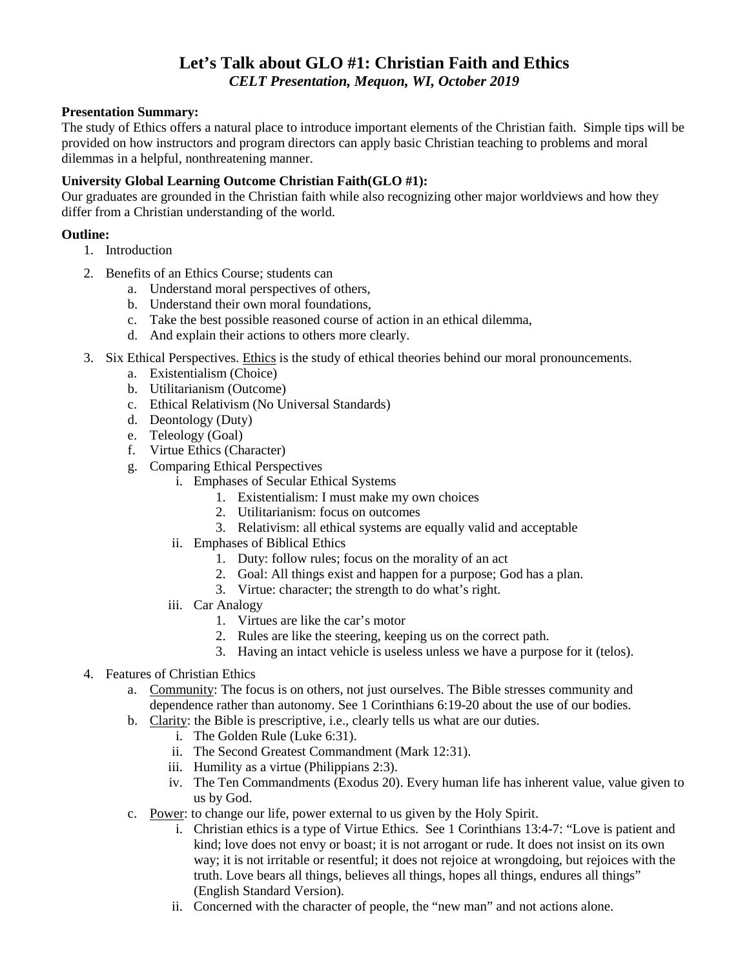# **Let's Talk about GLO #1: Christian Faith and Ethics** *CELT Presentation, Mequon, WI, October 2019*

# **Presentation Summary:**

The study of Ethics offers a natural place to introduce important elements of the Christian faith. Simple tips will be provided on how instructors and program directors can apply basic Christian teaching to problems and moral dilemmas in a helpful, nonthreatening manner.

# **University Global Learning Outcome Christian Faith(GLO #1):**

Our graduates are grounded in the Christian faith while also recognizing other major worldviews and how they differ from a Christian understanding of the world.

# **Outline:**

- 1. Introduction
- 2. Benefits of an Ethics Course; students can
	- a. Understand moral perspectives of others,
	- b. Understand their own moral foundations,
	- c. Take the best possible reasoned course of action in an ethical dilemma,
	- d. And explain their actions to others more clearly.
- 3. Six Ethical Perspectives. Ethics is the study of ethical theories behind our moral pronouncements.
	- a. Existentialism (Choice)
	- b. Utilitarianism (Outcome)
	- c. Ethical Relativism (No Universal Standards)
	- d. Deontology (Duty)
	- e. Teleology (Goal)
	- f. Virtue Ethics (Character)
	- g. Comparing Ethical Perspectives
		- i. Emphases of Secular Ethical Systems
			- 1. Existentialism: I must make my own choices
			- 2. Utilitarianism: focus on outcomes
			- 3. Relativism: all ethical systems are equally valid and acceptable
		- ii. Emphases of Biblical Ethics
			- 1. Duty: follow rules; focus on the morality of an act
			- 2. Goal: All things exist and happen for a purpose; God has a plan.
			- 3. Virtue: character; the strength to do what's right.
		- iii. Car Analogy
			- 1. Virtues are like the car's motor
			- 2. Rules are like the steering, keeping us on the correct path.
			- 3. Having an intact vehicle is useless unless we have a purpose for it (telos).
- 4. Features of Christian Ethics
	- a. Community: The focus is on others, not just ourselves. The Bible stresses community and dependence rather than autonomy. See 1 Corinthians 6:19-20 about the use of our bodies.
	- b. Clarity: the Bible is prescriptive, i.e., clearly tells us what are our duties.
		- i. The Golden Rule (Luke 6:31).
		- ii. The Second Greatest Commandment (Mark 12:31).
		- iii. Humility as a virtue (Philippians 2:3).
		- iv. The Ten Commandments (Exodus 20). Every human life has inherent value, value given to us by God.
	- c. Power: to change our life, power external to us given by the Holy Spirit.
		- i. Christian ethics is a type of Virtue Ethics. See 1 Corinthians 13:4-7: "Love is patient and kind; love does not envy or boast; it is not arrogant or rude. It does not insist on its own way; it is not irritable or resentful; it does not rejoice at wrongdoing, but rejoices with the truth. Love bears all things, believes all things, hopes all things, endures all things" (English Standard Version).
		- ii. Concerned with the character of people, the "new man" and not actions alone.